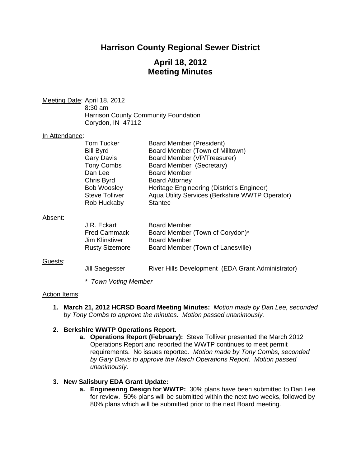# **Harrison County Regional Sewer District**

# **April 18, 2012 Meeting Minutes**

Meeting Date: April 18, 2012 8:30 am Harrison County Community Foundation Corydon, IN 47112

### In Attendance:

| Aqua Utility Services (Berkshire WWTP Operator) |
|-------------------------------------------------|
|                                                 |
|                                                 |

#### Absent:

| J.R. Eckart           | <b>Board Member</b>               |
|-----------------------|-----------------------------------|
| <b>Fred Cammack</b>   | Board Member (Town of Corydon)*   |
| Jim Klinstiver        | <b>Board Member</b>               |
| <b>Rusty Sizemore</b> | Board Member (Town of Lanesville) |

#### Guests:

Jill Saegesser River Hills Development (EDA Grant Administrator)

*\* Town Voting Member* 

#### Action Items:

**1. March 21, 2012 HCRSD Board Meeting Minutes:** *Motion made by Dan Lee, seconded by Tony Combs to approve the minutes. Motion passed unanimously.* 

### **2. Berkshire WWTP Operations Report.**

**a. Operations Report (February):** Steve Tolliver presented the March 2012 Operations Report and reported the WWTP continues to meet permit requirements. No issues reported. *Motion made by Tony Combs, seconded by Gary Davis to approve the March Operations Report. Motion passed unanimously.* 

### **3. New Salisbury EDA Grant Update:**

**a. Engineering Design for WWTP:** 30% plans have been submitted to Dan Lee for review. 50% plans will be submitted within the next two weeks, followed by 80% plans which will be submitted prior to the next Board meeting.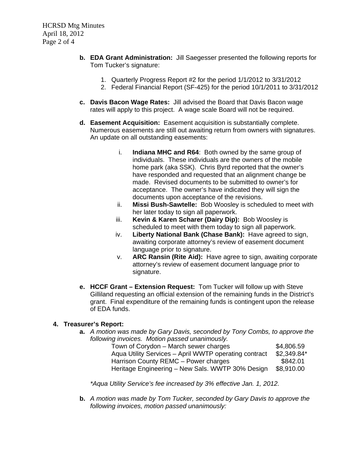- **b. EDA Grant Administration:** Jill Saegesser presented the following reports for Tom Tucker's signature:
	- 1. Quarterly Progress Report #2 for the period 1/1/2012 to 3/31/2012
	- 2. Federal Financial Report (SF-425) for the period 10/1/2011 to 3/31/2012
- **c. Davis Bacon Wage Rates:** Jill advised the Board that Davis Bacon wage rates will apply to this project. A wage scale Board will not be required.
- **d. Easement Acquisition:** Easement acquisition is substantially complete. Numerous easements are still out awaiting return from owners with signatures. An update on all outstanding easements:
	- i. **Indiana MHC and R64**: Both owned by the same group of individuals. These individuals are the owners of the mobile home park (aka SSK). Chris Byrd reported that the owner's have responded and requested that an alignment change be made. Revised documents to be submitted to owner's for acceptance. The owner's have indicated they will sign the documents upon acceptance of the revisions.
	- ii. **Missi Bush-Sawtelle:** Bob Woosley is scheduled to meet with her later today to sign all paperwork.
	- iii. **Kevin & Karen Scharer (Dairy Dip):** Bob Woosley is scheduled to meet with them today to sign all paperwork.
	- iv. **Liberty National Bank (Chase Bank):** Have agreed to sign, awaiting corporate attorney's review of easement document language prior to signature.
	- v. **ARC Ransin (Rite Aid):** Have agree to sign, awaiting corporate attorney's review of easement document language prior to signature.
- **e. HCCF Grant Extension Request:** Tom Tucker will follow up with Steve Gilliland requesting an official extension of the remaining funds in the District's grant. Final expenditure of the remaining funds is contingent upon the release of EDA funds.

## **4. Treasurer's Report:**

**a.** *A motion was made by Gary Davis, seconded by Tony Combs, to approve the following invoices. Motion passed unanimously.* 

| Town of Corydon – March sewer charges                 | \$4,806.59   |
|-------------------------------------------------------|--------------|
| Aqua Utility Services - April WWTP operating contract | $$2,349.84*$ |
| Harrison County REMC - Power charges                  | \$842.01     |
| Heritage Engineering – New Sals. WWTP 30% Design      | \$8,910.00   |

*\*Aqua Utility Service's fee increased by 3% effective Jan. 1, 2012.* 

**b.** *A motion was made by Tom Tucker, seconded by Gary Davis to approve the following invoices, motion passed unanimously:*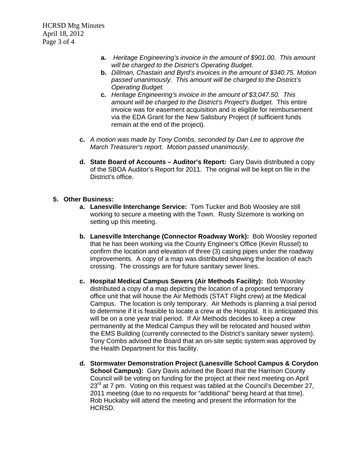HCRSD Mtg Minutes April 18, 2012 Page 3 of 4

- **a.** *Heritage Engineering's invoice in the amount of \$901.00. This amount will be charged to the District's Operating Budget.*
- **b.** *Dillman, Chastain and Byrd's invoices in the amount of \$340.75. Motion passed unanimously. This amount will be charged to the District's Operating Budget.*
- **c.** *Heritage Engineering's invoice in the amount of \$3,047.50. This amount will be charged to the District's Project's Budget.* This entire invoice was for easement acquisition and is eligible for reimbursement via the EDA Grant for the New Salisbury Project (if sufficient funds remain at the end of the project).
- **c.** *A motion was made by Tony Combs, seconded by Dan Lee to approve the March Treasurer's report. Motion passed unanimously*.
- **d. State Board of Accounts Auditor's Report:** Gary Davis distributed a copy of the SBOA Auditor's Report for 2011. The original will be kept on file in the District's office.

### **5. Other Business:**

- **a. Lanesville Interchange Service:** Tom Tucker and Bob Woosley are still working to secure a meeting with the Town. Rusty Sizemore is working on setting up this meeting.
- **b. Lanesville Interchange (Connector Roadway Work):** Bob Woosley reported that he has been working via the County Engineer's Office (Kevin Russel) to confirm the location and elevation of three (3) casing pipes under the roadway improvements. A copy of a map was distributed showing the location of each crossing. The crossings are for future sanitary sewer lines.
- **c. Hospital Medical Campus Sewers (Air Methods Facility):** Bob Woosley distributed a copy of a map depicting the location of a proposed temporary office unit that will house the Air Methods (STAT Flight crew) at the Medical Campus. The location is only temporary. Air Methods is planning a trial period to determine if it is feasible to locate a crew at the Hospital. It is anticipated this will be on a one year trial period. If Air Methods decides to keep a crew permanently at the Medical Campus they will be relocated and housed within the EMS Building (currently connected to the District's sanitary sewer system). Tony Combs advised the Board that an on-site septic system was approved by the Health Department for this facility.
- **d. Stormwater Demonstration Project (Lanesville School Campus & Corydon School Campus):** Gary Davis advised the Board that the Harrison County Council will be voting on funding for the project at their next meeting on April  $23<sup>rd</sup>$  at 7 pm. Voting on this request was tabled at the Council's December 27, 2011 meeting (due to no requests for "additional" being heard at that time). Rob Huckaby will attend the meeting and present the information for the HCRSD.